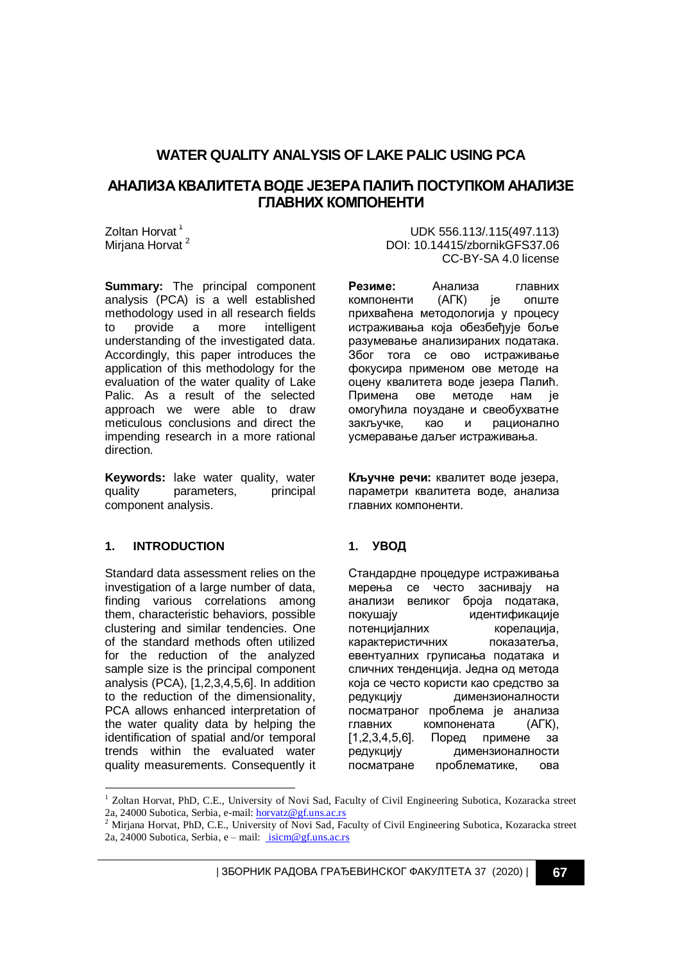# **WATER QUALITY ANALYSIS OF LAKE PALIC USING PCA**

## **АНАЛИЗА КВАЛИТЕТА ВОДЕ ЈЕЗЕРА ПАЛИЋ ПОСТУПКОМ АНАЛИЗЕ ГЛАВНИХ КОМПОНЕНТИ**

Zoltan Horvat<sup>1</sup> Mirjana Horvat<sup>2</sup>

**Summary:** The principal component analysis (PCA) is a well established methodology used in all research fields to provide a more intelligent understanding of the investigated data. Accordingly, this paper introduces the application of this methodology for the evaluation of the water quality of Lake Palic. As a result of the selected approach we were able to draw meticulous conclusions and direct the impending research in a more rational direction.

**Keywords:** lake water quality, water quality parameters, principal component analysis.

### **1. INTRODUCTION**

-

Standard data assessment relies on the investigation of a large number of data, finding various correlations among them, characteristic behaviors, possible clustering and similar tendencies. One of the standard methods often utilized for the reduction of the analyzed sample size is the principal component analysis (PCA), [1,2,3,4,5,6]. In addition to the reduction of the dimensionality, PCA allows enhanced interpretation of the water quality data by helping the identification of spatial and/or temporal trends within the evaluated water quality measurements. Consequently it

UDK 556.113/.115(497.113) DOI: 10.14415/zbornikGFS37.06 CC-BY-SA 4.0 license

**Резиме:** Анализа главних компоненти (АГК) је опште прихваћена методологија у процесу истраживања која обезбеђује боље разумевање анализираних података. Збoг тога се ово истраживање фокусира применом ове методе на оцену квалитета воде језера Палић. Примена ове методе нам је омогућила поуздане и свеобухватне закључке, као и рационално усмеравање даљег истраживања.

**Кључне речи:** квалитет воде језера, параметри квалитета воде, анализа главних компоненти.

## **1. УВОД**

Стандардне процедуре истраживања мерења се често заснивају на анализи великог броја података, покушају идентификације потенцијалних корелација, карактеристичних показатеља, евентуалних груписања података и сличних тенденција. Једна од метода која се често користи као средство за редукцију димензионалности посматраног проблема је анализа главних компонената (АГК), [1,2,3,4,5,6]. Поред примене за редукцију димензионалности посматране проблематике, ова

| ЗБОРНИК РАДОВА ГРАЂЕВИНСКОГ ФАКУЛТЕТА 37 (2020) | **67**

<sup>&</sup>lt;sup>1</sup> Zoltan Horvat, PhD, C.E., University of Novi Sad, Faculty of Civil Engineering Subotica, Kozaracka street 2a, 24000 Subotica, Serbia, e-mail: [horvatz@gf.uns.ac.rs](mailto:horvatz@gf.uns.ac.rs)

<sup>2</sup> Mirjana Horvat, PhD, C.E., University of Novi Sad, Faculty of Civil Engineering Subotica, Kozaracka street 2a, 24000 Subotica, Serbia, e – mail: [isicm@gf.uns.ac.rs](mailto:majer.fruzsina.kata@uni-nke.hu)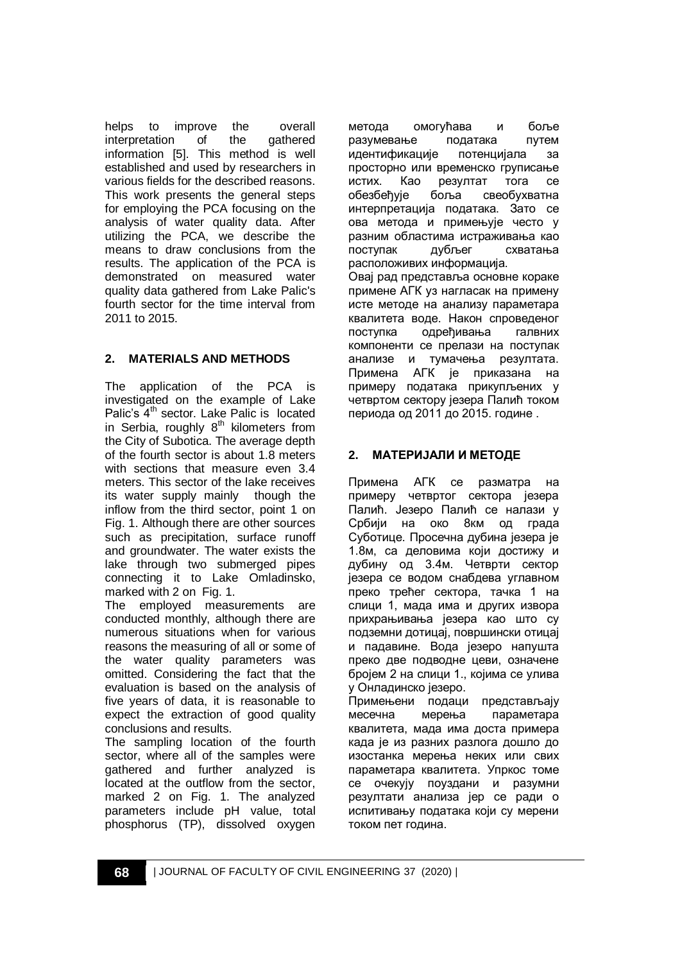helps to improve the overall interpretation of the gathered information [5]. This method is well established and used by researchers in various fields for the described reasons. This work presents the general steps for employing the PCA focusing on the analysis of water quality data. After utilizing the PCA, we describe the means to draw conclusions from the results. The application of the PCA is demonstrated on measured water quality data gathered from Lake Palic's fourth sector for the time interval from 2011 to 2015.

## **2. MATERIALS AND METHODS**

The application of the PCA is investigated on the example of Lake Palic's  $4<sup>th</sup>$  sector. Lake Palic is located in Serbia, roughly  $8<sup>th</sup>$  kilometers from the City of Subotica. The average depth of the fourth sector is about 1.8 meters with sections that measure even 3.4 meters. This sector of the lake receives its water supply mainly though the inflow from the third sector, point 1 on Fig. 1. Although there are other sources such as precipitation, surface runoff and groundwater. The water exists the lake through two submerged pipes connecting it to Lake Omladinsko, marked with 2 on Fig. 1.

The employed measurements are conducted monthly, although there are numerous situations when for various reasons the measuring of all or some of the water quality parameters was omitted. Considering the fact that the evaluation is based on the analysis of five years of data, it is reasonable to expect the extraction of good quality conclusions and results.

The sampling location of the fourth sector, where all of the samples were gathered and further analyzed is located at the outflow from the sector, marked 2 on Fig. 1. The analyzed parameters include pH value, total phosphorus (TP), dissolved oxygen

метода омогућава и боље разумевање података путем идентификације потенцијала за просторно или временско груписање истих. Као резултат тога се обезбеђује боља свеобухватна интерпретација података. Зато се ова метода и примењује често у разним областима истраживања као поступак дубљег схватања расположивих информација. Овај рад представља основне кораке примене АГК уз нагласак на примену исте методе на анализу параметара квалитета воде. Након спроведеног поступка одређивања галвних компоненти се прелази на поступак анализе и тумачења резултата. Примена АГК је приказана на примеру података прикупљених у четвртом сектору језера Палић током периода од 2011 до 2015. године .

## **2. МАТЕРИJАЛИ И МЕТОДЕ**

Примена АГК се разматра на примеру четвртог сектора језера Палић. Језеро Палић се налази у Србији на око 8км од града Суботице. Просечна дубина језера је 1.8м, са деловима који достижу и дубину од 3.4м. Четврти сектор језера се водом снабдева углавном преко трећег сектора, тачка 1 на слици 1, мада има и других извора прихрањивања језера као што су подземни дотицај, површински отицај и падавине. Вода језеро напушта преко две подводне цеви, означене бројем 2 на слици 1., којима се улива у Онладинско језеро.

Примењени подаци представљају месечна мерења параметара квалитета, мада има доста примера када је из разних разлога дошло до изостанка мерења неких или свих параметара квалитета. Упркос томе се очекују поуздани и разумни резултати анализа јер се ради о испитивању података који су мерени током пет година.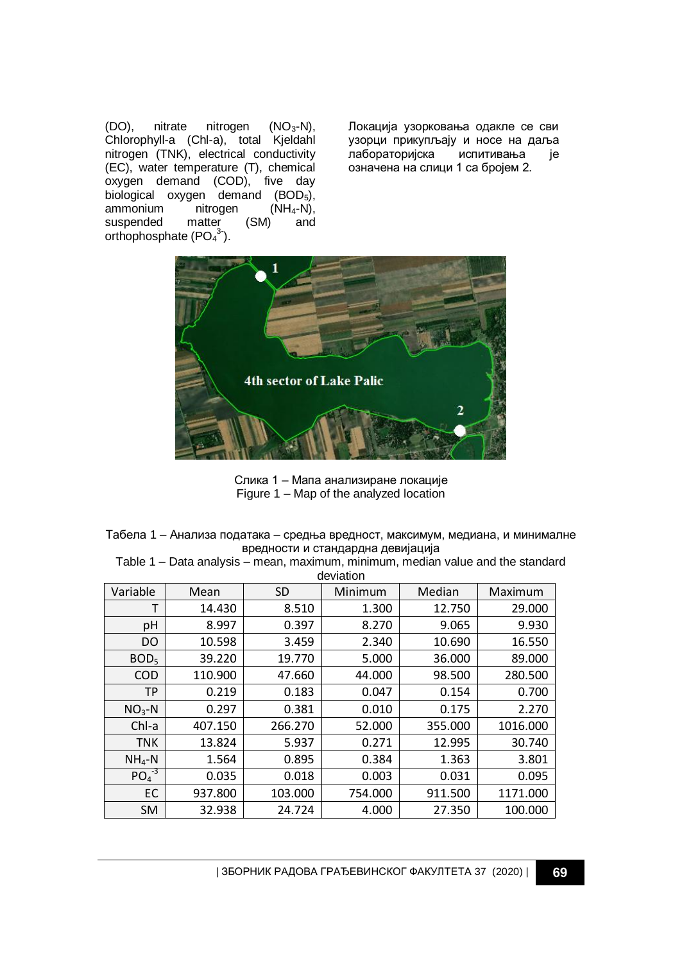(DO), nitrate nitrogen (NO<sub>3</sub>-N), Chlorophyll-a (Chl-a), total Kjeldahl nitrogen (TNK), electrical conductivity (EC), water temperature (T), chemical oxygen demand (COD), five day biological oxygen demand (BOD<sub>5</sub>),<br>ammonium nitrogen (NH<sub>4</sub>-N), ammonium nitrogen (NH<sub>4</sub>-N),<br>suspended matter (SM) and suspended orthophosphate  $(PO<sub>4</sub><sup>3</sup>)$ .

Локација узорковања одакле се сви узорци прикупљају и носе на даља лабораторијска испитивања је означена на слици 1 са бројем 2.



Слика 1 – Мапа анализиране локације Figure 1 – Map of the analyzed location

Табела 1 – Анализа података – средња вредност, максимум, медиана, и минималне вредности и стандардна девијација

Table 1 – Data analysis – mean, maximum, minimum, median value and the standard deviation

| Variable         | Mean    | <b>SD</b> | Minimum | Median  | Maximum  |
|------------------|---------|-----------|---------|---------|----------|
| т                | 14.430  | 8.510     | 1.300   | 12.750  | 29.000   |
| рH               | 8.997   | 0.397     | 8.270   | 9.065   | 9.930    |
| DO               | 10.598  | 3.459     | 2.340   | 10.690  | 16.550   |
| BOD <sub>5</sub> | 39.220  | 19.770    | 5.000   | 36.000  | 89.000   |
| <b>COD</b>       | 110.900 | 47.660    | 44.000  | 98.500  | 280.500  |
| ТP               | 0.219   | 0.183     | 0.047   | 0.154   | 0.700    |
| $NO3-N$          | 0.297   | 0.381     | 0.010   | 0.175   | 2.270    |
| Chl-a            | 407.150 | 266.270   | 52.000  | 355.000 | 1016.000 |
| <b>TNK</b>       | 13.824  | 5.937     | 0.271   | 12.995  | 30.740   |
| $NH4-N$          | 1.564   | 0.895     | 0.384   | 1.363   | 3.801    |
| $PO4-3$          | 0.035   | 0.018     | 0.003   | 0.031   | 0.095    |
| EC               | 937.800 | 103.000   | 754.000 | 911.500 | 1171.000 |
| <b>SM</b>        | 32.938  | 24.724    | 4.000   | 27.350  | 100.000  |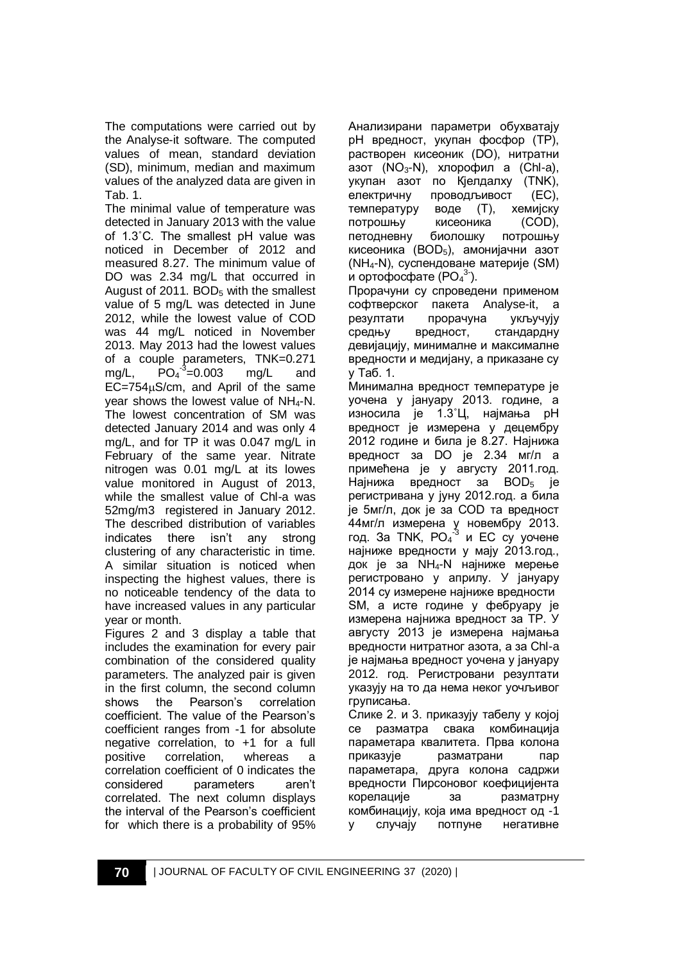The computations were carried out by the Analyse-it software. The computed values of mean, standard deviation (SD), minimum, median and maximum values of the analyzed data are given in Tab. 1.

The minimal value of temperature was detected in January 2013 with the value of 1.3˚C. The smallest pH value was noticed in December of 2012 and measured 8.27. The minimum value of DO was 2.34 mg/L that occurred in August of 2011.  $BOD<sub>5</sub>$  with the smallest value of 5 mg/L was detected in June 2012, while the lowest value of COD was 44 mg/L noticed in November 2013. May 2013 had the lowest values of a couple parameters, TNK=0.271  $mq/L$ ,  $^{-3}$ =0.003 mg/L and  $EC = 754 \mu S/cm$ , and April of the same year shows the lowest value of  $NH_4-N$ . The lowest concentration of SM was detected January 2014 and was only 4 mg/L, and for TP it was 0.047 mg/L in February of the same year. Nitrate nitrogen was 0.01 mg/L at its lowes value monitored in August of 2013, while the smallest value of Chl-a was 52mg/m3 registered in January 2012. The described distribution of variables indicates there isn't any strong clustering of any characteristic in time. A similar situation is noticed when inspecting the highest values, there is no noticeable tendency of the data to have increased values in any particular year or month.

Figures 2 and 3 display a table that includes the examination for every pair combination of the considered quality parameters. The analyzed pair is given in the first column, the second column shows the Pearson's correlation coefficient. The value of the Pearson's coefficient ranges from -1 for absolute negative correlation, to +1 for a full positive correlation, whereas a correlation coefficient of 0 indicates the considered parameters aren't correlated. The next column displays the interval of the Pearson's coefficient for which there is a probability of 95%

Анализирани параметри обухватају pH вредност, укупан фосфор (TP), растворен кисеоник (DO), нитратни азот  $(NO<sub>3</sub>-N)$ , хлорофил а  $(ChI-a)$ , укупан азот по Кјелдалху (TNK), електричну проводљивост (EC), температуру воде (T), хемијску потрошњу кисеоника (COD), петодневну биолошку потрошњу кисеоника (BOD<sub>5</sub>), амонијачни азот (NH4-N), суспендоване материје (SM) и ортофосфате (PO $_4^3$ ).

Прорачуни су спроведени применом софтверског пакета Analyse-it, а резултати прорачуна укључују средњу вредност, стандардну девијацију, минималне и максималне вредности и медијану, а приказане су у Таб. 1.

Минимална вредност температуре је уочена у јануару 2013. године, а износила је 1.3˚Ц, најмања pH вредност је измерена у децембру 2012 године и била је 8.27. Најнижа вредност за DO је 2.34 мг/л а примећена је у августу 2011.год. Најнижа вредност за BOD<sub>5</sub> је регистривана у јуну 2012.год. а била је 5мг/л, док је за COD та вредност 44мг/л измерена у новембру 2013. год. За TNK,  $PO<sub>4</sub><sup>-3</sup>$  и EC су уочене најниже вредности у мају 2013.год., док је за NH4-N најниже мерење регистровано у априлу. У јануару 2014 су измерене најниже вредности SM, а исте године у фебруару је измерена најнижа вредност за TP. У августу 2013 је измерена најмања вредности нитратног азота, а за Chl-a је најмања вредност уочена у јануару 2012. год. Регистровани резултати указују на то да нема неког уочљивог груписања.

Слике 2. и 3. приказују табелу у којој се разматра свака комбинација параметара квалитета. Прва колона приказује разматрани пар параметара, друга колона садржи вредности Пирсоновог коефицијента корелације за разматрну комбинацију, која има вредност од -1 у случају потпуне негативне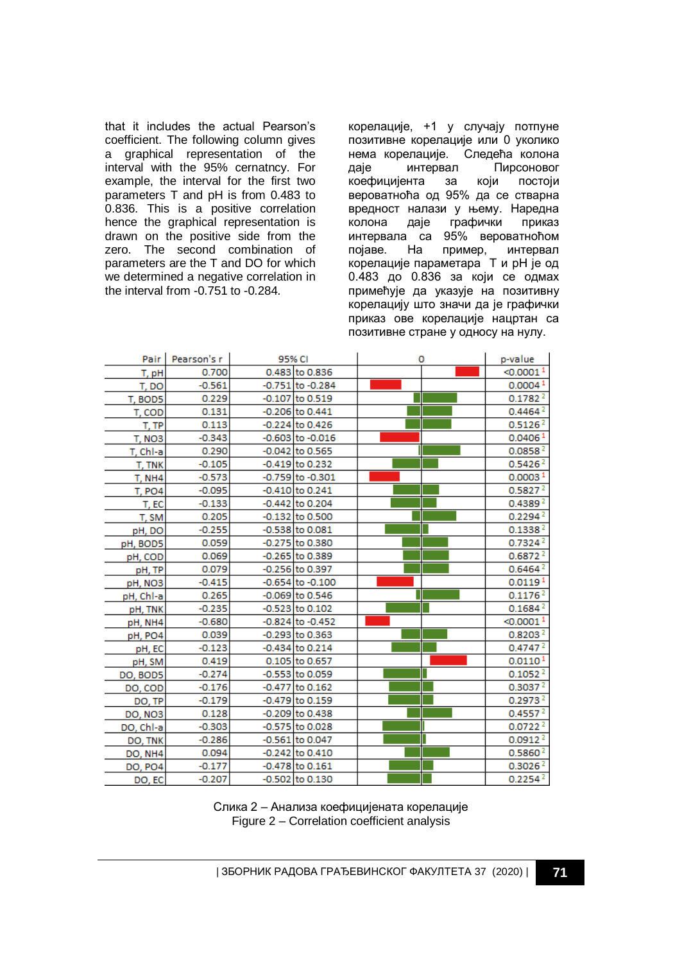that it includes the actual Pearson's coefficient. The following column gives a graphical representation of the interval with the 95% cernatncy. For example, the interval for the first two parameters T and pH is from 0.483 to 0.836. This is a positive correlation hence the graphical representation is drawn on the positive side from the zero. The second combination of parameters are the T and DO for which we determined a negative correlation in the interval from -0.751 to -0.284.

корелације, +1 у случају потпуне позитивне корелације или 0 уколико нема корелације. Следећа колона<br>даје интервал Пирсоновог даје интервал Пирсоновог коефицијента за који постоји вероватноћа од 95% да се стварна вредност налази у њему. Наредна колона даје графички приказ интервала са 95% вероватноћом<br>појаве. На пример, интервал појаве. На пример, интервал корелације параметара T и pH је од 0.483 до 0.836 за који се одмах примећује да указује на позитивну корелацију што значи да је графички приказ ове корелације нацртан са позитивне стране у односу на нулу.

| Pair               | Pearson's r | 95% CI |                      | ٥ | p-value               |
|--------------------|-------------|--------|----------------------|---|-----------------------|
| T, pH              | 0.700       |        | 0.483 to 0.836       |   | < 0.0001 <sup>1</sup> |
| T, DO              | $-0.561$    |        | -0.751 to -0.284     |   | 0.0004 <sup>1</sup>   |
| T, BOD5            | 0.229       |        | $-0.107$ to 0.519    |   | 0.1782 <sup>2</sup>   |
| T. COD             | 0.131       |        | $-0.206$ to 0.441    |   | $0.4464^{2}$          |
| T. TP              | 0.113       |        | $-0.224$ to 0.426    |   | 0.5126 <sup>2</sup>   |
| T, NO <sub>3</sub> | $-0.343$    |        | $-0.603$ to $-0.016$ |   | 0.0406 <sup>1</sup>   |
| T, Chl-a           | 0.290       |        | $-0.042$ to 0.565    |   | 0.0858 <sup>2</sup>   |
| T. TNK             | $-0.105$    |        | $-0.419$ to 0.232    |   | 0.5426 <sup>2</sup>   |
| T, NH <sub>4</sub> | $-0.573$    |        | -0.759 to -0.301     |   | 0.0003 <sup>1</sup>   |
| <b>T. PO4</b>      | $-0.095$    |        | $-0.410$ to 0.241    |   | $0.5827$ <sup>2</sup> |
| T. EC              | $-0.133$    |        | $-0.442$ to 0.204    |   | 0.4389 <sup>2</sup>   |
| T. SM              | 0.205       |        | $-0.132$ to 0.500    |   | 0.2294 <sup>2</sup>   |
| pH, DO             | $-0.255$    |        | $-0.538$ to $0.081$  |   | 0.1338 <sup>2</sup>   |
| pH, BOD5           | 0.059       |        | -0.275 to 0.380      |   | 0.7324 <sup>2</sup>   |
| pH, COD            | 0.069       |        | $-0.265$ to 0.389    |   | 0.6872 <sup>2</sup>   |
| pH, TP             | 0.079       |        | $-0.256$ to 0.397    |   | $0.6464^{2}$          |
| pH, NO3            | $-0.415$    |        | $-0.654$ to $-0.100$ |   | 0.0119 <sup>1</sup>   |
| pH, Chl-a          | 0.265       |        | -0.069 to 0.546      |   | $0.1176$ <sup>2</sup> |
| pH, TNK            | $-0.235$    |        | $-0.523$ to $0.102$  |   | 0.1684 <sup>2</sup>   |
| pH, NH4            | $-0.680$    |        | $-0.824$ to $-0.452$ |   | $<$ 0.0001 $1$        |
| pH, PO4            | 0.039       |        | -0.293 to 0.363      |   | 0.8203 <sup>2</sup>   |
| pH, EC             | $-0.123$    |        | $-0.434$ to 0.214    |   | 0.4747 <sup>2</sup>   |
| pH, SM             | 0.419       |        | 0.105 to 0.657       |   | 0.0110 <sup>1</sup>   |
| DO, BOD5           | $-0.274$    |        | $-0.553$ to 0.059    |   | 0.1052 <sup>2</sup>   |
| DO, COD            | $-0.176$    |        | $-0.477$ to 0.162    |   | 0.30372               |
| DO, TP             | $-0.179$    |        | -0.479 to 0.159      |   | 0.2973 <sup>2</sup>   |
| DO, NO3            | 0.128       |        | $-0.209$ to 0.438    |   | 0.4557 <sup>2</sup>   |
| DO, Chl-a          | $-0.303$    |        | -0.575 to 0.028      |   | 0.0722 <sup>2</sup>   |
| DO, TNK            | $-0.286$    |        | $-0.561$ to 0.047    |   | 0.0912 <sup>2</sup>   |
| DO, NH4            | 0.094       |        | $-0.242$ to 0.410    |   | 0.5860 <sup>2</sup>   |
| <b>DO, PO4</b>     | $-0.177$    |        | $-0.478$ to $0.161$  |   | 0.3026 <sup>2</sup>   |
| DO, EC             | $-0.207$    |        | $-0.502$ to $0.130$  |   | 0.2254 <sup>2</sup>   |

Слика 2 – Анализа коефицијената корелације Figure 2 – Correlation coefficient analysis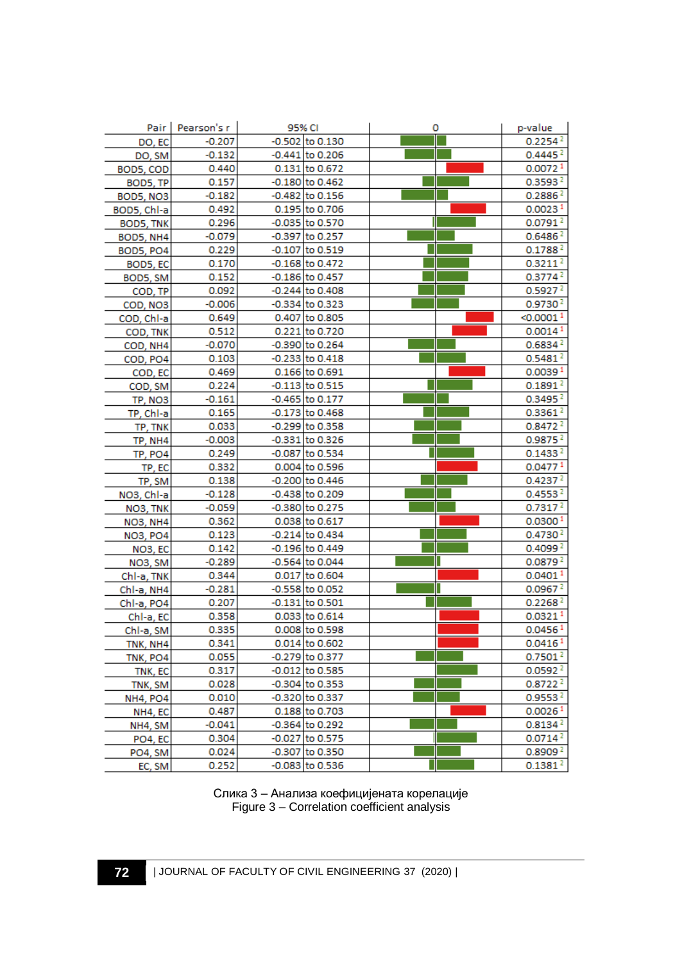|                      | Pair   Pearson's r | 95% CI              | ٥ | p-value               |
|----------------------|--------------------|---------------------|---|-----------------------|
| DO, EC               | $-0.207$           | $-0.502$ to 0.130   |   | 0.2254 <sup>2</sup>   |
| DO, SM               | $-0.132$           | $-0.441$ to 0.206   |   | 0.4445 <sup>2</sup>   |
| BOD5, COD            | 0.440              | 0.131 to 0.672      |   | 0.00721               |
| BOD5, TP             | 0.157              | $-0.180$ to 0.462   |   | 0.3593 <sup>2</sup>   |
| BOD5, NO3            | $-0.182$           | $-0.482$ to 0.156   |   | 0.2886 <sup>2</sup>   |
| BOD5, Chl-a          | 0.492              | 0.195 to 0.706      |   | 0.0023 <sup>1</sup>   |
| BOD5, TNK            | 0.296              | -0.035 to 0.570     |   | 0.0791 <sup>2</sup>   |
| BOD5, NH4            | $-0.079$           | -0.397 to 0.257     |   | $0.6486^{2}$          |
| BOD5, PO4            | 0.229              | $-0.107$ to 0.519   |   | 0.1788 <sup>2</sup>   |
| BOD5, EC             | 0.170              | $-0.168$ to 0.472   |   | 0.3211 <sup>2</sup>   |
| BOD5, SM             | 0.152              | -0.186 to 0.457     |   | 0.3774 <sup>2</sup>   |
| COD, TP              | 0.092              | $-0.244$ to 0.408   |   | 0.5927 <sup>2</sup>   |
| COD, NO3             | $-0.006$           | -0.334 to 0.323     |   | 0.9730 <sup>2</sup>   |
| COD, Chl-a           | 0.649              | 0.407 to 0.805      |   | < 0.0001 <sup>1</sup> |
| COD, TNK             | 0.512              | 0.221 to 0.720      |   | 0.0014 <sup>1</sup>   |
| COD, NH4             | $-0.070$           | $-0.390$ to 0.264   |   | 0.6834 <sup>2</sup>   |
| COD, PO4             | 0.103              | $-0.233$ to $0.418$ |   | 0.5481 <sup>2</sup>   |
| COD, EC              | 0.469              | 0.166 to 0.691      |   | 0.0039 <sup>1</sup>   |
| COD, SM              | 0.224              | $-0.113$ to 0.515   |   | 0.1891 <sup>2</sup>   |
| TP, NO3              | $-0.161$           | $-0.465$ to 0.177   |   | 0.3495 <sup>2</sup>   |
| TP, Chl-a            | 0.165              | $-0.173$ to 0.468   |   | 0.3361 <sup>2</sup>   |
| TP, TNK              | 0.033              | $-0.299$ to 0.358   |   | 0.8472 <sup>2</sup>   |
| TP, NH4              | $-0.003$           | $-0.331$ to 0.326   |   | 0.9875 <sup>2</sup>   |
| TP, PO4              | 0.249              | -0.087 to 0.534     |   | 0.1433 <sup>2</sup>   |
| TP, EC               | 0.332              | 0.004 to 0.596      |   | 0.04771               |
| TP, SM               | 0.138              | $-0.200$ to 0.446   |   | 0.4237 <sup>2</sup>   |
| NO3, Chl-a           | $-0.128$           | $-0.438$ to 0.209   |   | 0.4553 <sup>2</sup>   |
| NO3, TNK             | $-0.059$           | -0.380 to 0.275     |   | 0.7317 <sup>2</sup>   |
| <b>NO3, NH4</b>      | 0.362              | 0.038 to 0.617      |   | 0.0300 <sup>1</sup>   |
| <b>NO3, PO4</b>      | 0.123              | $-0.214$ to 0.434   |   | 0.4730 <sup>2</sup>   |
| NO <sub>3</sub> , EC | 0.142              | $-0.196$ to 0.449   |   | 0.4099 <sup>2</sup>   |
| NO3, SM              | $-0.289$           | -0.564 to 0.044     |   | 0.0879 <sup>2</sup>   |
| Chl-a, TNK           | 0.344              | 0.017 to 0.604      |   | 0.0401 <sup>1</sup>   |
| Chl-a, NH4           | $-0.281$           | -0.558 to 0.052     |   | 0.0967 <sup>2</sup>   |
| Chl-a, PO4           | 0.207              | $-0.131$ to 0.501   |   | 0.2268 <sup>2</sup>   |
| Chl-a, EC            | 0.358              | 0.033 to 0.614      |   | 0.0321 <sup>1</sup>   |
| Chl-a, SM            | 0.335              | 0.008 to 0.598      |   | 0.0456 <sup>1</sup>   |
| TNK, NH4             | 0.341              | 0.014 to 0.602      |   | 0.0416 <sup>1</sup>   |
| TNK, PO4             | 0.055              | -0.279 to 0.377     |   | 0.7501 <sup>2</sup>   |
| TNK, EC              | 0.317              | $-0.012$ to 0.585   |   | 0.0592 <sup>2</sup>   |
| TNK, SM              | 0.028              | $-0.304$ to 0.353   |   | 0.8722 <sup>2</sup>   |
| <b>NH4, PO4</b>      | 0.010              | -0.320 to 0.337     |   | 0.9553 <sup>2</sup>   |
| NH4, EC              | 0.487              | 0.188 to 0.703      |   | 0.0026 <sup>1</sup>   |
| NH4, SM              | $-0.041$           | -0.364 to 0.292     |   | 0.8134 <sup>2</sup>   |
| PO4, EC              | 0.304              | -0.027 to 0.575     |   | 0.0714 <sup>2</sup>   |
| PO4, SM              | 0.024              | -0.307 to 0.350     |   | 0.8909 <sup>2</sup>   |
| EC, SM               | 0.252              | $-0.083$ to $0.536$ |   | 0.1381 <sup>2</sup>   |

Слика 3 – Анализа коефицијената корелације Figure 3 – Correlation coefficient analysis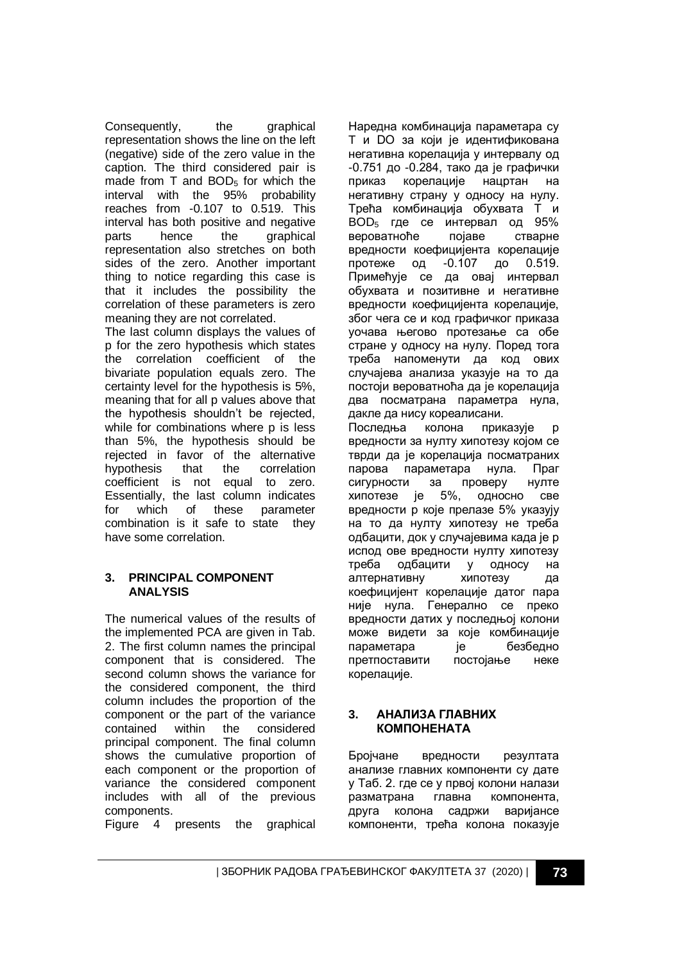Consequently, the graphical representation shows the line on the left (negative) side of the zero value in the caption. The third considered pair is made from  $T$  and  $BOD<sub>5</sub>$  for which the interval with the 95% probability reaches from -0.107 to 0.519. This interval has both positive and negative parts hence the graphical representation also stretches on both sides of the zero. Another important thing to notice regarding this case is that it includes the possibility the correlation of these parameters is zero meaning they are not correlated.

The last column displays the values of p for the zero hypothesis which states the correlation coefficient of the bivariate population equals zero. The certainty level for the hypothesis is 5%, meaning that for all p values above that the hypothesis shouldn't be rejected, while for combinations where p is less than 5%, the hypothesis should be rejected in favor of the alternative hypothesis that the correlation coefficient is not equal to zero. Essentially, the last column indicates for which of these parameter combination is it safe to state they have some correlation.

### **3. PRINCIPAL COMPONENT ANALYSIS**

The numerical values of the results of the implemented PCA are given in Tab. 2. The first column names the principal component that is considered. The second column shows the variance for the considered component, the third column includes the proportion of the component or the part of the variance contained within the considered principal component. The final column shows the cumulative proportion of each component or the proportion of variance the considered component includes with all of the previous components.

Figure 4 presents the graphical

Наредна комбинација параметара су T и DO за који је идентификована негативна корелација у интервалу од -0.751 до -0.284, тако да је графички приказ корелације нацртан на негативну страну у односу на нулу. Трећа комбинација обухвата T и BOD<sup>5</sup> где се интервал од 95% вероватноће појаве стварне вредности коефицијента корелације протеже од -0.107 до 0.519. Примећује се да овај интервал обухвата и позитивне и негативне вредности коефицијента корелације, због чега се и код графичког приказа уочава његово протезање са обе стране у односу на нулу. Поред тога треба напоменути да код ових случајева анализа указује на то да постоји вероватноћа да је корелација два посматрана параметра нула, дакле да нису кореалисани.

Последња колона приказује p вредности за нулту хипотезу којом се тврди да је корелација посматраних парова параметара нула. Праг сигурности за проверу нулте хипотезе је 5%, односно све вредности p које прелазе 5% указују на то да нулту хипотезу не треба одбацити, док у случајевима када је p испод ове вредности нулту хипотезу треба одбацити у односу на алтернативну хипотезу да коефицијент корелације датог пара није нула. Генерално се преко вредности датих у последњој колони може видети за које комбинације параметара је безбедно претпоставити постојање неке корелације.

### **3. АНАЛИЗА ГЛАВНИХ КОМПОНЕНАТА**

Бројчане вредности резултата анализе главних компоненти су дате у Таб. 2. где се у првој колони налази разматрана главна компонента, друга колона садржи варијансе компоненти, трећа колона показује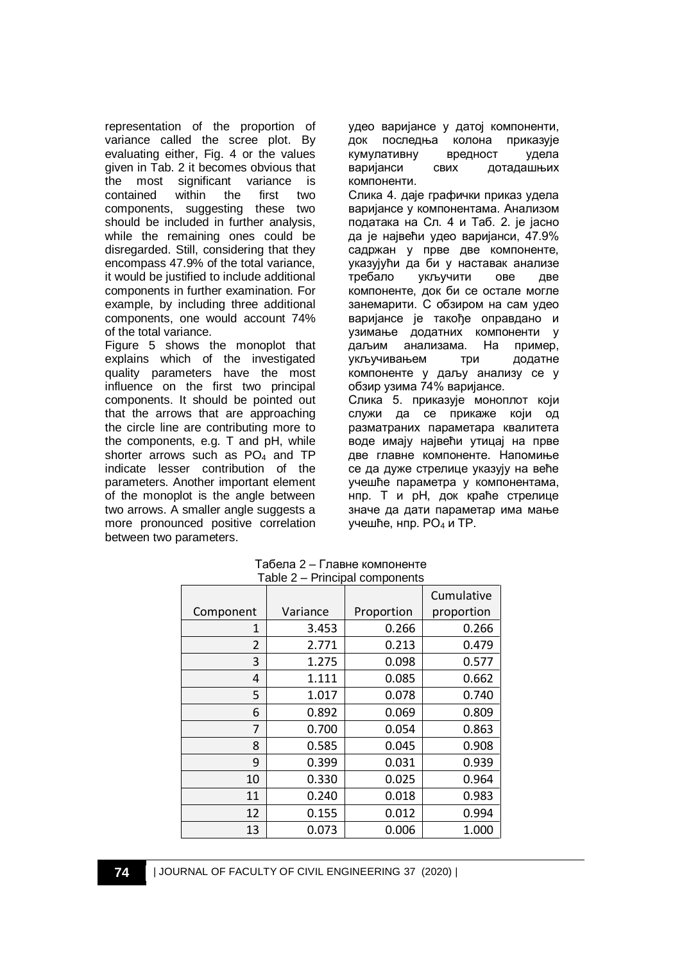representation of the proportion of variance called the scree plot. By evaluating either, Fig. 4 or the values given in Tab. 2 it becomes obvious that the most significant variance is contained within the first two components, suggesting these two should be included in further analysis, while the remaining ones could be disregarded. Still, considering that they encompass 47.9% of the total variance, it would be justified to include additional components in further examination. For example, by including three additional components, one would account 74% of the total variance.

Figure 5 shows the monoplot that explains which of the investigated quality parameters have the most influence on the first two principal components. It should be pointed out that the arrows that are approaching the circle line are contributing more to the components, e.g. T and pH, while shorter arrows such as PO<sub>4</sub> and TP indicate lesser contribution of the parameters. Another important element of the monoplot is the angle between two arrows. A smaller angle suggests a more pronounced positive correlation between two parameters.

удео варијансе у датој компоненти, док последња колона приказује кумулативну вредност удела варијанси свих дотадашњих компоненти.

Слика 4. даје графички приказ удела варијансе у компонентама. Анализом података на Сл. 4 и Таб. 2. је јасно да је највећи удео варијанси, 47.9% садржан у прве две компоненте, указујући да би у наставак анализе требало укључити ове две компоненте, док би се остале могле занемарити. С обзиром на сам удео варијансе је такође оправдано и узимање додатних компоненти у даљим анализама. На пример, укључивањем три додатне компоненте у даљу анализу се у обзир узима 74% варијансе.

Слика 5. приказује моноплот који служи да се прикаже који од разматраних параметара квалитета воде имају највећи утицај на прве две главне компоненте. Напомиње се да дуже стрелице указују на веће учешће параметра у компонентама, нпр. T и pH, док краће стрелице значе да дати параметар има мање учешће, нпр. PO<sup>4</sup> и TP.

|                |          | $1$ able $2 - 1$ interpatibolities its | Cumulative |
|----------------|----------|----------------------------------------|------------|
| Component      | Variance | Proportion                             | proportion |
|                |          |                                        |            |
| 1              | 3.453    | 0.266                                  | 0.266      |
| $\overline{2}$ | 2.771    | 0.213                                  | 0.479      |
| 3              | 1.275    | 0.098                                  | 0.577      |
| 4              | 1.111    | 0.085                                  | 0.662      |
| 5              | 1.017    | 0.078                                  | 0.740      |
| 6              | 0.892    | 0.069                                  | 0.809      |
| 7              | 0.700    | 0.054                                  | 0.863      |
| 8              | 0.585    | 0.045                                  | 0.908      |
| 9              | 0.399    | 0.031                                  | 0.939      |
| 10             | 0.330    | 0.025                                  | 0.964      |
| 11             | 0.240    | 0.018                                  | 0.983      |
| 12             | 0.155    | 0.012                                  | 0.994      |
| 13             | 0.073    | 0.006                                  | 1.000      |

Табела 2 – Главне компоненте Table 2 – Principal components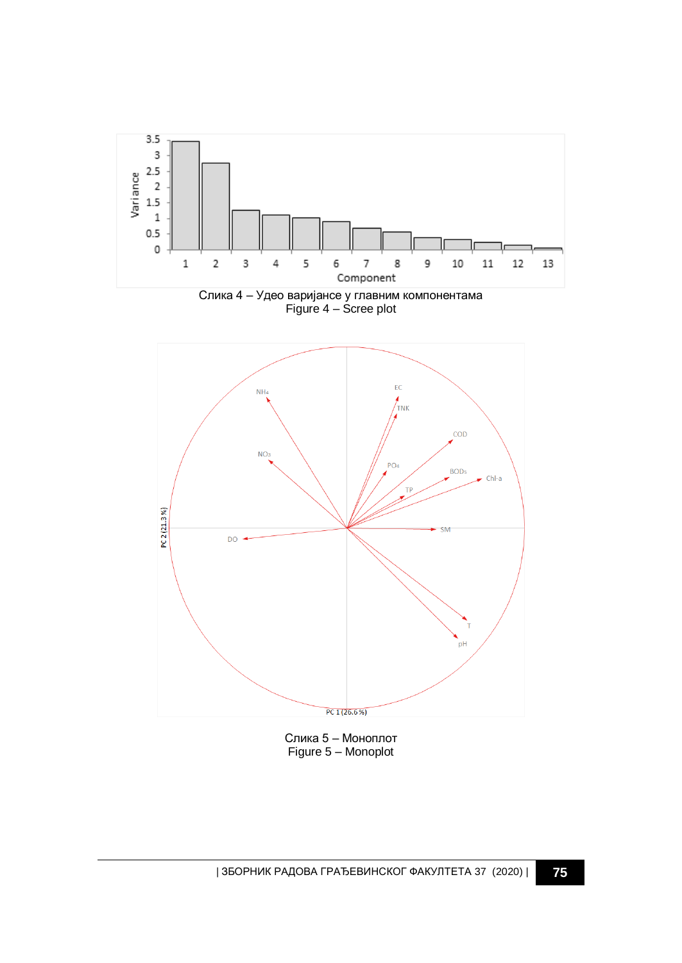





Слика 5 – Моноплот Figure 5 – Monoplot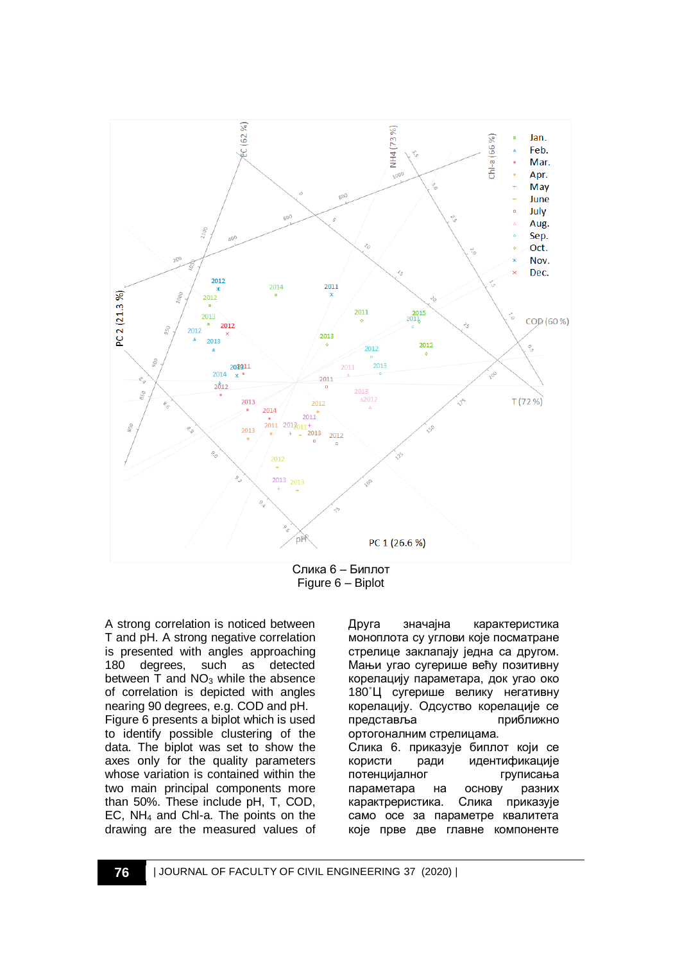

Figure 6 – Biplot

A strong correlation is noticed between T and pH. A strong negative correlation is presented with angles approaching<br>180 degrees, such as detected 180 degrees, such as between  $\bar{T}$  and NO<sub>3</sub> while the absence of correlation is depicted with angles nearing 90 degrees, e.g. COD and pH. Figure 6 presents a biplot which is used to identify possible clustering of the data. The biplot was set to show the axes only for the quality parameters whose variation is contained within the two main principal components more than 50%. These include pH, T, COD, EC, NH<sup>4</sup> and Chl-a. The points on the drawing are the measured values of

Друга значајна карактеристика моноплота су углови које посматране стрелице заклапају једна са другом. Мањи угао сугерише већу позитивну корелацију параметара, док угао око 180˚Ц сугерише велику негативну корелацију. Одсуство корелације се представља приближно ортогоналним стрелицама. Слика 6. приказује биплот који се користи ради идентификације потенцијалног груписања параметара на основу разних карактреристика. Слика приказује само осе за параметре квалитета које прве две главне компоненте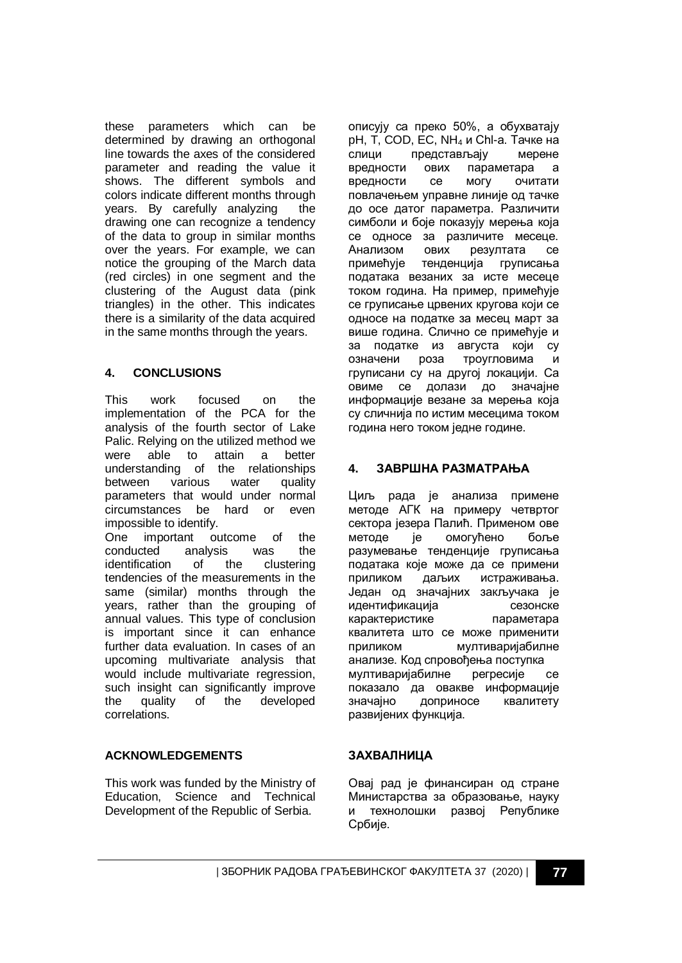these parameters which can be determined by drawing an orthogonal line towards the axes of the considered parameter and reading the value it shows. The different symbols and colors indicate different months through years. By carefully analyzing the drawing one can recognize a tendency of the data to group in similar months over the years. For example, we can notice the grouping of the March data (red circles) in one segment and the clustering of the August data (pink triangles) in the other. This indicates there is a similarity of the data acquired in the same months through the years.

## **4. CONCLUSIONS**

This work focused on the implementation of the PCA for the analysis of the fourth sector of Lake Palic. Relying on the utilized method we were able to attain a better understanding of the relationships between various water quality parameters that would under normal circumstances be hard or even impossible to identify. One important outcome of the conducted analysis was the identification of the clustering tendencies of the measurements in the same (similar) months through the

years, rather than the grouping of annual values. This type of conclusion is important since it can enhance further data evaluation. In cases of an upcoming multivariate analysis that would include multivariate regression, such insight can significantly improve the quality of the developed correlations.

### **ACKNOWLEDGEMENTS**

This work was funded by the Ministry of Education, Science and Technical Development of the Republic of Serbia.

описују са преко 50%, а обухватају pH, T, COD, EC, NH<sup>4</sup> и Chl-a. Тачке на слици представљају мерене вредности ових параметара а вредности се могу очитати повлачењем управне линије од тачке до осе датог параметра. Различити симболи и боје показују мерења која се односе за различите месеце. Анализом ових резултата се примећује тенденција груписања података везаних за исте месеце током година. На пример, примећује се груписање црвених кругова који се односе на податке за месец март за више година. Слично се примећује и за податке из августа који су означени роза троугловима и груписани су на другој локацији. Са овиме се долази до значајне информације везане за мерења која су сличнија по истим месецима током година него током једне године.

## **4. ЗАВРШНА РАЗМАТРАЊА**

Циљ рада је анализа примене методе АГК на примеру четвртог сектора језера Палић. Применом ове методе је омогућено боље разумевање тенденције груписања података које може да се примени приликом даљих истраживања. Један од значајних закључака је идентификација сезонске карактеристике параметара квалитета што се може применити приликом мултиваријабилне анализе. Код спровођења поступка мултиваријабилне регресије се показало да овакве информације значајно доприносе квалитету развијених функција.

### **ЗАХВАЛНИЦА**

Овај рад је финансиран од стране Министарства за образовање, науку и технолошки развој Републике Србије.